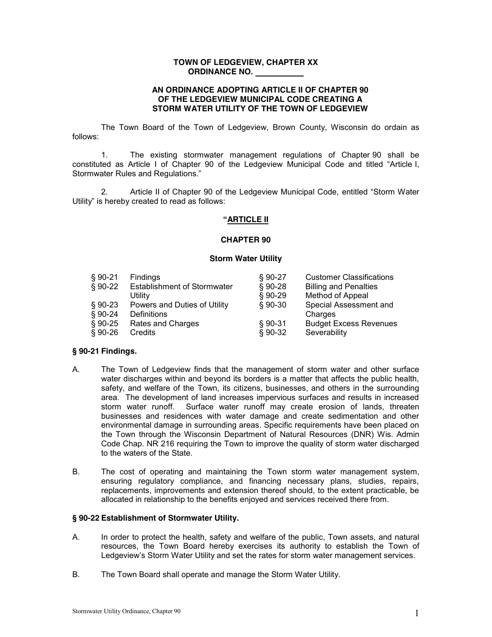## **TOWN OF LEDGEVIEW, CHAPTER XX ORDINANCE NO.**

### **AN ORDINANCE ADOPTING ARTICLE II OF CHAPTER 90 OF THE LEDGEVIEW MUNICIPAL CODE CREATING A STORM WATER UTILITY OF THE TOWN OF LEDGEVIEW**

The Town Board of the Town of Ledgeview, Brown County, Wisconsin do ordain as follows:

1. The existing stormwater management regulations of Chapter 90 shall be constituted as Article I of Chapter 90 of the Ledgeview Municipal Code and titled "Article I, Stormwater Rules and Requlations."

2. Article II of Chapter 90 of the Ledgeview Municipal Code, entitled "Storm Water" Utility" is hereby created to read as follows:

### **³ARTICLE II**

#### **CHAPTER 90**

#### **Storm Water Utility**

| $§ 90-21$ | Findings                           | $§ 90-27$ | <b>Customer Classifications</b> |
|-----------|------------------------------------|-----------|---------------------------------|
| $§ 90-22$ | <b>Establishment of Stormwater</b> | $$90-28$  | <b>Billing and Penalties</b>    |
|           | Utility                            | $$90-29$  | <b>Method of Appeal</b>         |
| $§ 90-23$ | Powers and Duties of Utility       | $§ 90-30$ | Special Assessment and          |
| $$90-24$  | Definitions                        |           | Charges                         |
| $§ 90-25$ | Rates and Charges                  | $$90-31$  | <b>Budget Excess Revenues</b>   |
| $§ 90-26$ | Credits                            | $$90-32$  | Severability                    |

### **§ 90-21 Findings.**

- A. The Town of Ledgeview finds that the management of storm water and other surface water discharges within and beyond its borders is a matter that affects the public health, safety, and welfare of the Town, its citizens, businesses, and others in the surrounding area. The development of land increases impervious surfaces and results in increased storm water runoff. Surface water runoff may create erosion of lands, threaten businesses and residences with water damage and create sedimentation and other environmental damage in surrounding areas. Specific requirements have been placed on the Town through the Wisconsin Department of Natural Resources (DNR) Wis. Admin Code Chap. NR 216 requiring the Town to improve the quality of storm water discharged to the waters of the State.
- B. The cost of operating and maintaining the Town storm water management system, ensuring regulatory compliance, and financing necessary plans, studies, repairs, replacements, improvements and extension thereof should, to the extent practicable, be allocated in relationship to the benefits enjoyed and services received there from.

### **§ 90-22 Establishment of Stormwater Utility.**

- A. In order to protect the health, safety and welfare of the public, Town assets, and natural resources, the Town Board hereby exercises its authority to establish the Town of Ledgeview's Storm Water Utility and set the rates for storm water management services.
- B. The Town Board shall operate and manage the Storm Water Utility.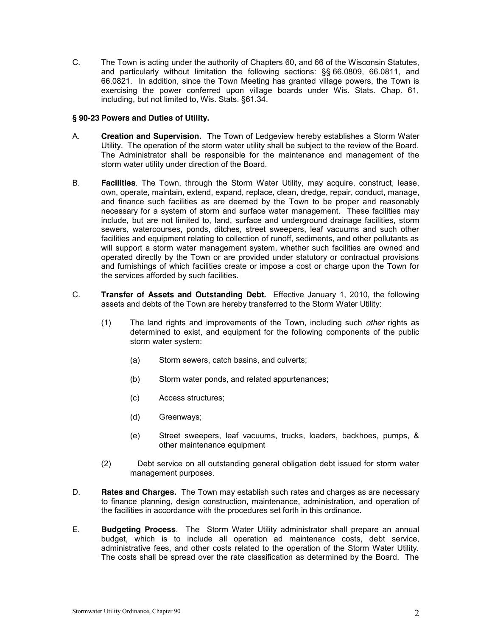C. The Town is acting under the authority of Chapters 60*,* and 66 of the Wisconsin Statutes, and particularly without limitation the following sections: §§ 66.0809, 66.0811, and 66.0821. In addition, since the Town Meeting has granted village powers, the Town is exercising the power conferred upon village boards under Wis. Stats. Chap. 61, including, but not limited to, Wis. Stats. §61.34.

## **§ 90-23 Powers and Duties of Utility.**

- A. **Creation and Supervision.** The Town of Ledgeview hereby establishes a Storm Water Utility. The operation of the storm water utility shall be subject to the review of the Board. The Administrator shall be responsible for the maintenance and management of the storm water utility under direction of the Board.
- B. **Facilities**. The Town, through the Storm Water Utility, may acquire, construct, lease, own, operate, maintain, extend, expand, replace, clean, dredge, repair, conduct, manage, and finance such facilities as are deemed by the Town to be proper and reasonably necessary for a system of storm and surface water management. These facilities may include, but are not limited to, land, surface and underground drainage facilities, storm sewers, watercourses, ponds, ditches, street sweepers, leaf vacuums and such other facilities and equipment relating to collection of runoff, sediments, and other pollutants as will support a storm water management system, whether such facilities are owned and operated directly by the Town or are provided under statutory or contractual provisions and furnishings of which facilities create or impose a cost or charge upon the Town for the services afforded by such facilities.
- C. **Transfer of Assets and Outstanding Debt.** Effective January 1, 2010, the following assets and debts of the Town are hereby transferred to the Storm Water Utility:
	- (1) The land rights and improvements of the Town, including such *other* rights as determined to exist, and equipment for the following components of the public storm water system:
		- (a) Storm sewers, catch basins, and culverts;
		- (b) Storm water ponds, and related appurtenances;
		- (c) Access structures;
		- (d) Greenways;
		- (e) Street sweepers, leaf vacuums, trucks, loaders, backhoes, pumps, & other maintenance equipment
	- (2) Debt service on all outstanding general obligation debt issued for storm water management purposes.
- D. **Rates and Charges.** The Town may establish such rates and charges as are necessary to finance planning, design construction, maintenance, administration, and operation of the facilities in accordance with the procedures set forth in this ordinance.
- E. **Budgeting Process**. The Storm Water Utility administrator shall prepare an annual budget, which is to include all operation ad maintenance costs, debt service, administrative fees, and other costs related to the operation of the Storm Water Utility. The costs shall be spread over the rate classification as determined by the Board. The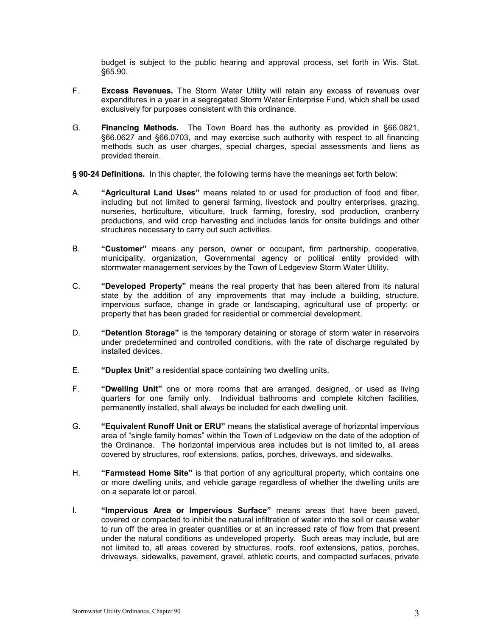budget is subject to the public hearing and approval process, set forth in Wis. Stat. §65.90.

- F. **Excess Revenues.** The Storm Water Utility will retain any excess of revenues over expenditures in a year in a segregated Storm Water Enterprise Fund, which shall be used exclusively for purposes consistent with this ordinance.
- G. **Financing Methods.** The Town Board has the authority as provided in §66.0821, §66.0627 and §66.0703, and may exercise such authority with respect to all financing methods such as user charges, special charges, special assessments and liens as provided therein.

**§ 90-24 Definitions.** In this chapter, the following terms have the meanings set forth below:

- A. **43 "Agricultural Land Uses"** means related to or used for production of food and fiber, including but not limited to general farming, livestock and poultry enterprises, grazing, nurseries, horticulture, viticulture, truck farming, forestry, sod production, cranberry productions, and wild crop harvesting and includes lands for onsite buildings and other structures necessary to carry out such activities.
- B. **"Customer"** means any person, owner or occupant, firm partnership, cooperative, municipality, organization, Governmental agency or political entity provided with stormwater management services by the Town of Ledgeview Storm Water Utility.
- C. **"Developed Property"** means the real property that has been altered from its natural state by the addition of any improvements that may include a building, structure, impervious surface, change in grade or landscaping, agricultural use of property; or property that has been graded for residential or commercial development.
- D. **"Detention Storage"** is the temporary detaining or storage of storm water in reservoirs under predetermined and controlled conditions, with the rate of discharge regulated by installed devices.
- E. **49 "Duplex Unit"** a residential space containing two dwelling units.
- F. **³Dwelling Unit´** one or more rooms that are arranged, designed, or used as living quarters for one family only. Individual bathrooms and complete kitchen facilities, permanently installed, shall always be included for each dwelling unit.
- G. **45. <b>42. It Equivalent Runoff Unit or ERU**" means the statistical average of horizontal impervious area of "single family homes" within the Town of Ledgeview on the date of the adoption of the Ordinance. The horizontal impervious area includes but is not limited to, all areas covered by structures, roof extensions, patios, porches, driveways, and sidewalks.
- H. **<sup>4</sup>Farmstead Home Site**" is that portion of any agricultural property, which contains one or more dwelling units, and vehicle garage regardless of whether the dwelling units are on a separate lot or parcel.
- I. **Impervious Area or Impervious Surface**" means areas that have been paved, covered or compacted to inhibit the natural infiltration of water into the soil or cause water to run off the area in greater quantities or at an increased rate of flow from that present under the natural conditions as undeveloped property. Such areas may include, but are not limited to, all areas covered by structures, roofs, roof extensions, patios, porches, driveways, sidewalks, pavement, gravel, athletic courts, and compacted surfaces, private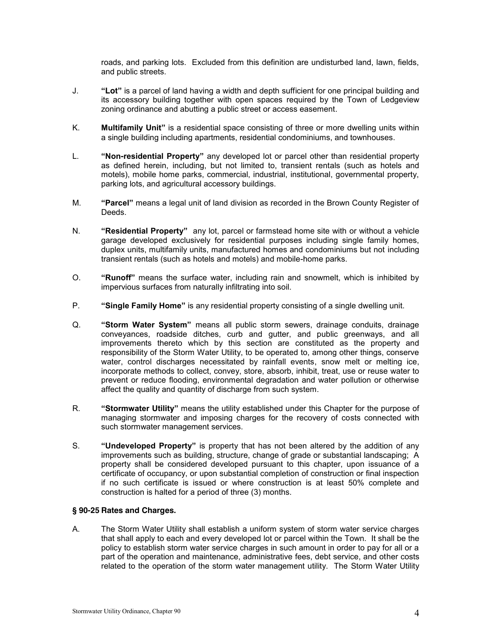roads, and parking lots. Excluded from this definition are undisturbed land, lawn, fields, and public streets.

- J. **³Lot´** is a parcel of land having a width and depth sufficient for one principal building and its accessory building together with open spaces required by the Town of Ledgeview zoning ordinance and abutting a public street or access easement.
- K. **Multifamily Unit**" is a residential space consisting of three or more dwelling units within a single building including apartments, residential condominiums, and townhouses.
- L. **418-Won-residential Property**" any developed lot or parcel other than residential property as defined herein, including, but not limited to, transient rentals (such as hotels and motels), mobile home parks, commercial, industrial, institutional, governmental property, parking lots, and agricultural accessory buildings.
- M. *"Parcel"* means a legal unit of land division as recorded in the Brown County Register of Deeds.
- N. **<sup>"</sup>Residential Property**" any lot, parcel or farmstead home site with or without a vehicle garage developed exclusively for residential purposes including single family homes, duplex units, multifamily units, manufactured homes and condominiums but not including transient rentals (such as hotels and motels) and mobile-home parks.
- O. *Hermiff* means the surface water, including rain and snowmelt, which is inhibited by impervious surfaces from naturally infiltrating into soil.
- P. **Single Family Home**" is any residential property consisting of a single dwelling unit.
- Q. **45 Storm Water System**" means all public storm sewers, drainage conduits, drainage conveyances, roadside ditches, curb and gutter, and public greenways, and all improvements thereto which by this section are constituted as the property and responsibility of the Storm Water Utility, to be operated to, among other things, conserve water, control discharges necessitated by rainfall events, snow melt or melting ice, incorporate methods to collect, convey, store, absorb, inhibit, treat, use or reuse water to prevent or reduce flooding, environmental degradation and water pollution or otherwise affect the quality and quantity of discharge from such system.
- R. **46 Stormwater Utility**<sup>"</sup> means the utility established under this Chapter for the purpose of managing stormwater and imposing charges for the recovery of costs connected with such stormwater management services.
- S. **"Undeveloped Property"** is property that has not been altered by the addition of any improvements such as building, structure, change of grade or substantial landscaping; A property shall be considered developed pursuant to this chapter, upon issuance of a certificate of occupancy, or upon substantial completion of construction or final inspection if no such certificate is issued or where construction is at least 50% complete and construction is halted for a period of three (3) months.

# **§ 90-25 Rates and Charges.**

A. The Storm Water Utility shall establish a uniform system of storm water service charges that shall apply to each and every developed lot or parcel within the Town. It shall be the policy to establish storm water service charges in such amount in order to pay for all or a part of the operation and maintenance, administrative fees, debt service, and other costs related to the operation of the storm water management utility. The Storm Water Utility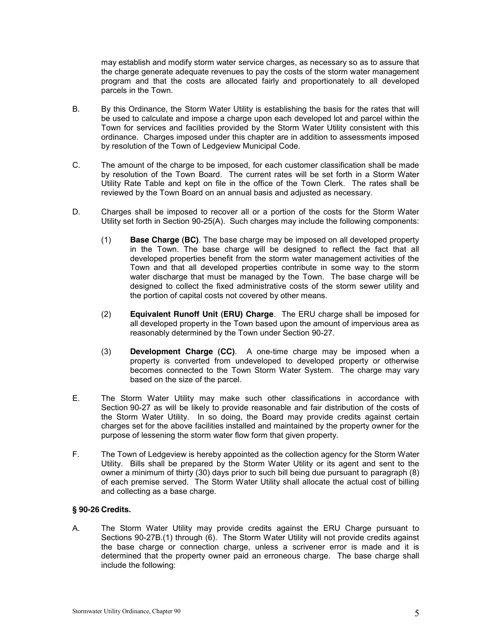may establish and modify storm water service charges, as necessary so as to assure that the charge generate adequate revenues to pay the costs of the storm water management program and that the costs are allocated fairly and proportionately to all developed parcels in the Town.

- B. By this Ordinance, the Storm Water Utility is establishing the basis for the rates that will be used to calculate and impose a charge upon each developed lot and parcel within the Town for services and facilities provided by the Storm Water Utility consistent with this ordinance. Charges imposed under this chapter are in addition to assessments imposed by resolution of the Town of Ledgeview Municipal Code.
- C. The amount of the charge to be imposed, for each customer classification shall be made by resolution of the Town Board. The current rates will be set forth in a Storm Water Utility Rate Table and kept on file in the office of the Town Clerk. The rates shall be reviewed by the Town Board on an annual basis and adjusted as necessary.
- D. Charges shall be imposed to recover all or a portion of the costs for the Storm Water Utility set forth in Section 90-25(A). Such charges may include the following components:
	- (1) **Base Charge (BC)**. The base charge may be imposed on all developed property in the Town. The base charge will be designed to reflect the fact that all developed properties benefit from the storm water management activities of the Town and that all developed properties contribute in some way to the storm water discharge that must be managed by the Town. The base charge will be designed to collect the fixed administrative costs of the storm sewer utility and the portion of capital costs not covered by other means.
	- (2) **Equivalent Runoff Unit (ERU) Charge**. The ERU charge shall be imposed for all developed property in the Town based upon the amount of impervious area as reasonably determined by the Town under Section 90-27.
	- (3) **Development Charge (CC)**. A one-time charge may be imposed when a property is converted from undeveloped to developed property or otherwise becomes connected to the Town Storm Water System. The charge may vary based on the size of the parcel.
- E. The Storm Water Utility may make such other classifications in accordance with Section 90-27 as will be likely to provide reasonable and fair distribution of the costs of the Storm Water Utility. In so doing, the Board may provide credits against certain charges set for the above facilities installed and maintained by the property owner for the purpose of lessening the storm water flow form that given property.
- F. The Town of Ledgeview is hereby appointed as the collection agency for the Storm Water Utility. Bills shall be prepared by the Storm Water Utility or its agent and sent to the owner a minimum of thirty (30) days prior to such bill being due pursuant to paragraph (8) of each premise served. The Storm Water Utility shall allocate the actual cost of billing and collecting as a base charge.

# **§ 90-26 Credits.**

A. The Storm Water Utility may provide credits against the ERU Charge pursuant to Sections 90-27B.(1) through (6). The Storm Water Utility will not provide credits against the base charge or connection charge, unless a scrivener error is made and it is determined that the property owner paid an erroneous charge. The base charge shall include the following: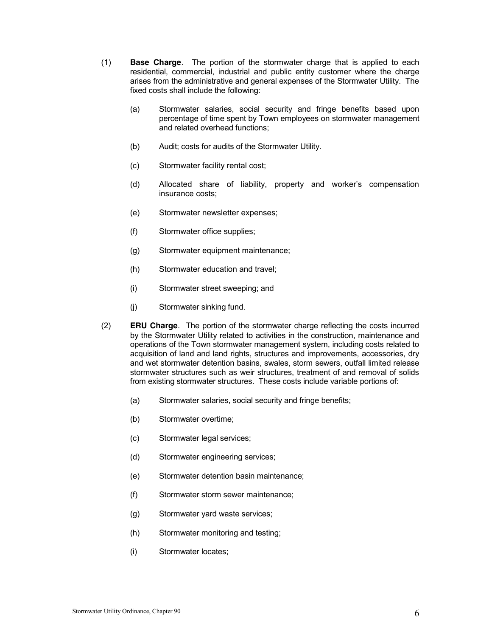- (1) **Base Charge**. The portion of the stormwater charge that is applied to each residential, commercial, industrial and public entity customer where the charge arises from the administrative and general expenses of the Stormwater Utility. The fixed costs shall include the following:
	- (a) Stormwater salaries, social security and fringe benefits based upon percentage of time spent by Town employees on stormwater management and related overhead functions;
	- (b) Audit; costs for audits of the Stormwater Utility.
	- (c) Stormwater facility rental cost;
	- (d) Allocated share of liability, property and worker's compensation insurance costs;
	- (e) Stormwater newsletter expenses;
	- (f) Stormwater office supplies;
	- (g) Stormwater equipment maintenance;
	- (h) Stormwater education and travel;
	- (i) Stormwater street sweeping; and
	- (j) Stormwater sinking fund.
- (2) **ERU Charge***.* The portion of the stormwater charge reflecting the costs incurred by the Stormwater Utility related to activities in the construction, maintenance and operations of the Town stormwater management system, including costs related to acquisition of land and land rights, structures and improvements, accessories, dry and wet stormwater detention basins, swales, storm sewers, outfall limited release stormwater structures such as weir structures, treatment of and removal of solids from existing stormwater structures. These costs include variable portions of:
	- (a) Stormwater salaries, social security and fringe benefits;
	- (b) Stormwater overtime;
	- (c) Stormwater legal services;
	- (d) Stormwater engineering services;
	- (e) Stormwater detention basin maintenance;
	- (f) Stormwater storm sewer maintenance;
	- (g) Stormwater yard waste services;
	- (h) Stormwater monitoring and testing;
	- (i) Stormwater locates;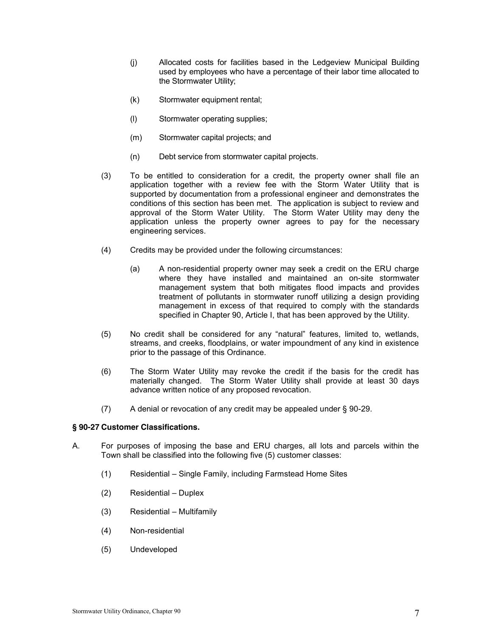- (j) Allocated costs for facilities based in the Ledgeview Municipal Building used by employees who have a percentage of their labor time allocated to the Stormwater Utility;
- (k) Stormwater equipment rental;
- (l) Stormwater operating supplies;
- (m) Stormwater capital projects; and
- (n) Debt service from stormwater capital projects.
- (3) To be entitled to consideration for a credit, the property owner shall file an application together with a review fee with the Storm Water Utility that is supported by documentation from a professional engineer and demonstrates the conditions of this section has been met. The application is subject to review and approval of the Storm Water Utility. The Storm Water Utility may deny the application unless the property owner agrees to pay for the necessary engineering services.
- (4) Credits may be provided under the following circumstances:
	- (a) A non-residential property owner may seek a credit on the ERU charge where they have installed and maintained an on-site stormwater management system that both mitigates flood impacts and provides treatment of pollutants in stormwater runoff utilizing a design providing management in excess of that required to comply with the standards specified in Chapter 90, Article I, that has been approved by the Utility.
- (5) No credit shall be considered for any "natural" features, limited to, wetlands, streams, and creeks, floodplains, or water impoundment of any kind in existence prior to the passage of this Ordinance.
- (6) The Storm Water Utility may revoke the credit if the basis for the credit has materially changed. The Storm Water Utility shall provide at least 30 days advance written notice of any proposed revocation.
- (7) A denial or revocation of any credit may be appealed under § 90-29.

### **§ 90-27 Customer Classifications.**

- A. For purposes of imposing the base and ERU charges, all lots and parcels within the Town shall be classified into the following five (5) customer classes:
	- (1) Residential ± Single Family, including Farmstead Home Sites
	- $(2)$  Residential Duplex
	- $(3)$  Residential Multifamily
	- (4) Non-residential
	- (5) Undeveloped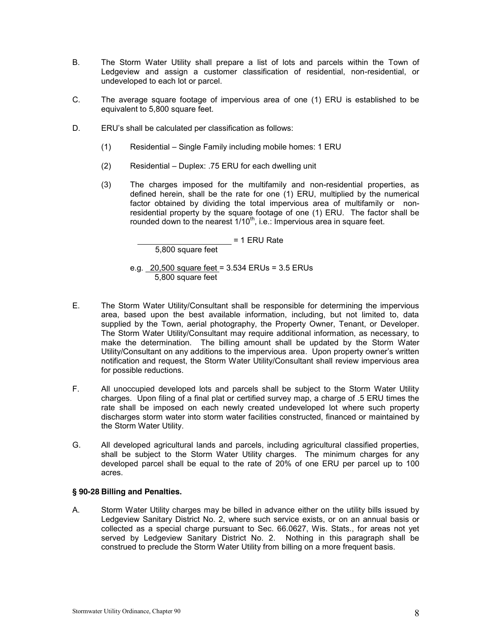- B. The Storm Water Utility shall prepare a list of lots and parcels within the Town of Ledgeview and assign a customer classification of residential, non-residential, or undeveloped to each lot or parcel.
- C. The average square footage of impervious area of one (1) ERU is established to be equivalent to 5,800 square feet.
- D. ERU's shall be calculated per classification as follows:
	- (1) Residential Single Family including mobile homes: 1 ERU
	- $(2)$  Residential Duplex: .75 ERU for each dwelling unit
	- (3) The charges imposed for the multifamily and non-residential properties, as defined herein, shall be the rate for one (1) ERU, multiplied by the numerical factor obtained by dividing the total impervious area of multifamily or nonresidential property by the square footage of one (1) ERU. The factor shall be rounded down to the nearest  $1/10^{th}$ , i.e.: Impervious area in square feet.

= 1 ERU Rate

5,800 square feet

e.g. 20,500 square feet = 3.534 ERUs = 3.5 ERUs 5,800 square feet

- E. The Storm Water Utility/Consultant shall be responsible for determining the impervious area, based upon the best available information, including, but not limited to, data supplied by the Town, aerial photography, the Property Owner, Tenant, or Developer. The Storm Water Utility/Consultant may require additional information, as necessary, to make the determination. The billing amount shall be updated by the Storm Water Utility/Consultant on any additions to the impervious area. Upon property owner's written notification and request, the Storm Water Utility/Consultant shall review impervious area for possible reductions.
- F. All unoccupied developed lots and parcels shall be subject to the Storm Water Utility charges. Upon filing of a final plat or certified survey map, a charge of .5 ERU times the rate shall be imposed on each newly created undeveloped lot where such property discharges storm water into storm water facilities constructed, financed or maintained by the Storm Water Utility.
- G. All developed agricultural lands and parcels, including agricultural classified properties, shall be subject to the Storm Water Utility charges. The minimum charges for any developed parcel shall be equal to the rate of 20% of one ERU per parcel up to 100 acres.

# **§ 90-28 Billing and Penalties.**

A. Storm Water Utility charges may be billed in advance either on the utility bills issued by Ledgeview Sanitary District No. 2, where such service exists, or on an annual basis or collected as a special charge pursuant to Sec. 66.0627, Wis. Stats., for areas not yet served by Ledgeview Sanitary District No. 2. Nothing in this paragraph shall be construed to preclude the Storm Water Utility from billing on a more frequent basis.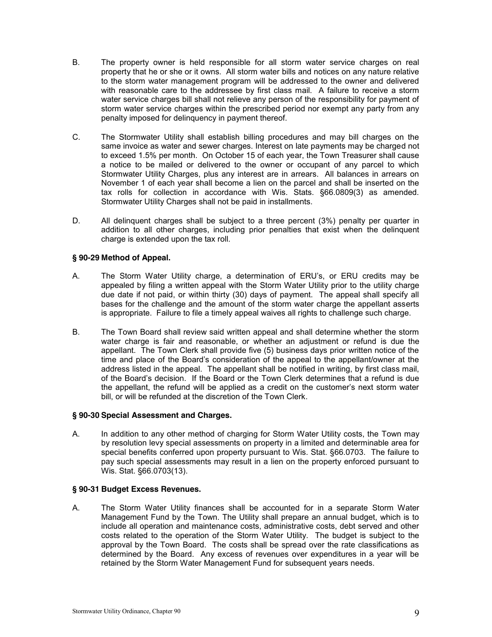- B. The property owner is held responsible for all storm water service charges on real property that he or she or it owns. All storm water bills and notices on any nature relative to the storm water management program will be addressed to the owner and delivered with reasonable care to the addressee by first class mail. A failure to receive a storm water service charges bill shall not relieve any person of the responsibility for payment of storm water service charges within the prescribed period nor exempt any party from any penalty imposed for delinquency in payment thereof.
- C. The Stormwater Utility shall establish billing procedures and may bill charges on the same invoice as water and sewer charges. Interest on late payments may be charged not to exceed 1.5% per month. On October 15 of each year, the Town Treasurer shall cause a notice to be mailed or delivered to the owner or occupant of any parcel to which Stormwater Utility Charges, plus any interest are in arrears. All balances in arrears on November 1 of each year shall become a lien on the parcel and shall be inserted on the tax rolls for collection in accordance with Wis. Stats. §66.0809(3) as amended. Stormwater Utility Charges shall not be paid in installments.
- D. All delinquent charges shall be subject to a three percent (3%) penalty per quarter in addition to all other charges, including prior penalties that exist when the delinquent charge is extended upon the tax roll.

## **§ 90-29 Method of Appeal.**

- A. The Storm Water Utility charge, a determination of ERU's, or ERU credits may be appealed by filing a written appeal with the Storm Water Utility prior to the utility charge due date if not paid, or within thirty (30) days of payment. The appeal shall specify all bases for the challenge and the amount of the storm water charge the appellant asserts is appropriate. Failure to file a timely appeal waives all rights to challenge such charge.
- B. The Town Board shall review said written appeal and shall determine whether the storm water charge is fair and reasonable, or whether an adjustment or refund is due the appellant. The Town Clerk shall provide five (5) business days prior written notice of the time and place of the Board's consideration of the appeal to the appellant/owner at the address listed in the appeal. The appellant shall be notified in writing, by first class mail, of the Board's decision. If the Board or the Town Clerk determines that a refund is due the appellant, the refund will be applied as a credit on the customer's next storm water bill, or will be refunded at the discretion of the Town Clerk.

### **§ 90-30 Special Assessment and Charges.**

A. In addition to any other method of charging for Storm Water Utility costs, the Town may by resolution levy special assessments on property in a limited and determinable area for special benefits conferred upon property pursuant to Wis. Stat. §66.0703. The failure to pay such special assessments may result in a lien on the property enforced pursuant to Wis. Stat. §66.0703(13).

### **§ 90-31 Budget Excess Revenues.**

A. The Storm Water Utility finances shall be accounted for in a separate Storm Water Management Fund by the Town. The Utility shall prepare an annual budget, which is to include all operation and maintenance costs, administrative costs, debt served and other costs related to the operation of the Storm Water Utility. The budget is subject to the approval by the Town Board. The costs shall be spread over the rate classifications as determined by the Board. Any excess of revenues over expenditures in a year will be retained by the Storm Water Management Fund for subsequent years needs.